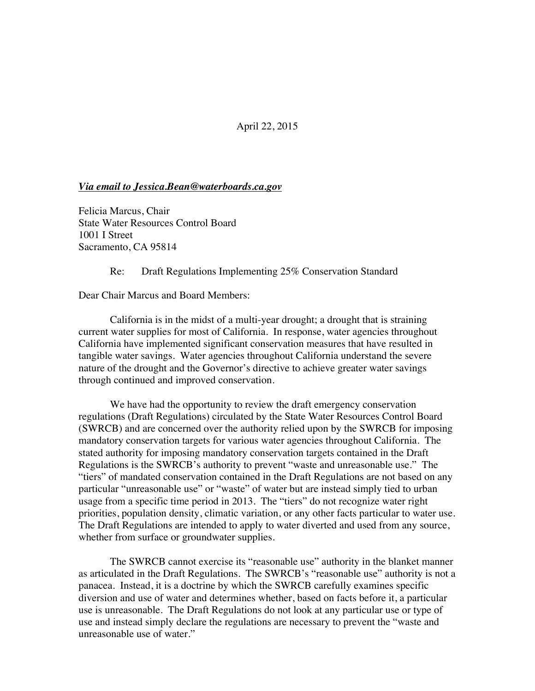## April 22, 2015

## *Via email to Jessica.Bean@waterboards.ca.gov*

Felicia Marcus, Chair State Water Resources Control Board 1001 I Street Sacramento, CA 95814

Re: Draft Regulations Implementing 25% Conservation Standard

Dear Chair Marcus and Board Members:

California is in the midst of a multi-year drought; a drought that is straining current water supplies for most of California. In response, water agencies throughout California have implemented significant conservation measures that have resulted in tangible water savings. Water agencies throughout California understand the severe nature of the drought and the Governor's directive to achieve greater water savings through continued and improved conservation.

We have had the opportunity to review the draft emergency conservation regulations (Draft Regulations) circulated by the State Water Resources Control Board (SWRCB) and are concerned over the authority relied upon by the SWRCB for imposing mandatory conservation targets for various water agencies throughout California. The stated authority for imposing mandatory conservation targets contained in the Draft Regulations is the SWRCB's authority to prevent "waste and unreasonable use." The "tiers" of mandated conservation contained in the Draft Regulations are not based on any particular "unreasonable use" or "waste" of water but are instead simply tied to urban usage from a specific time period in 2013. The "tiers" do not recognize water right priorities, population density, climatic variation, or any other facts particular to water use. The Draft Regulations are intended to apply to water diverted and used from any source, whether from surface or groundwater supplies.

The SWRCB cannot exercise its "reasonable use" authority in the blanket manner as articulated in the Draft Regulations. The SWRCB's "reasonable use" authority is not a panacea. Instead, it is a doctrine by which the SWRCB carefully examines specific diversion and use of water and determines whether, based on facts before it, a particular use is unreasonable. The Draft Regulations do not look at any particular use or type of use and instead simply declare the regulations are necessary to prevent the "waste and unreasonable use of water."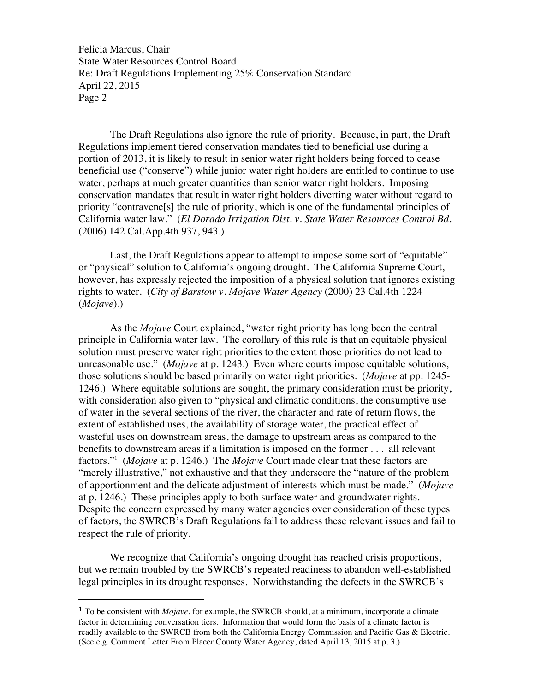Felicia Marcus, Chair State Water Resources Control Board Re: Draft Regulations Implementing 25% Conservation Standard April 22, 2015 Page 2

The Draft Regulations also ignore the rule of priority. Because, in part, the Draft Regulations implement tiered conservation mandates tied to beneficial use during a portion of 2013, it is likely to result in senior water right holders being forced to cease beneficial use ("conserve") while junior water right holders are entitled to continue to use water, perhaps at much greater quantities than senior water right holders. Imposing conservation mandates that result in water right holders diverting water without regard to priority "contravene[s] the rule of priority, which is one of the fundamental principles of California water law." (*El Dorado Irrigation Dist. v. State Water Resources Control Bd.* (2006) 142 Cal.App.4th 937, 943.)

Last, the Draft Regulations appear to attempt to impose some sort of "equitable" or "physical" solution to California's ongoing drought. The California Supreme Court, however, has expressly rejected the imposition of a physical solution that ignores existing rights to water. (*City of Barstow v. Mojave Water Agency* (2000) 23 Cal.4th 1224 (*Mojave*).)

As the *Mojave* Court explained, "water right priority has long been the central principle in California water law. The corollary of this rule is that an equitable physical solution must preserve water right priorities to the extent those priorities do not lead to unreasonable use." (*Mojave* at p. 1243.) Even where courts impose equitable solutions, those solutions should be based primarily on water right priorities. (*Mojave* at pp. 1245- 1246.) Where equitable solutions are sought, the primary consideration must be priority, with consideration also given to "physical and climatic conditions, the consumptive use of water in the several sections of the river, the character and rate of return flows, the extent of established uses, the availability of storage water, the practical effect of wasteful uses on downstream areas, the damage to upstream areas as compared to the benefits to downstream areas if a limitation is imposed on the former . . . all relevant factors."<sup>1</sup> (*Mojave* at p. 1246.) The *Mojave* Court made clear that these factors are "merely illustrative," not exhaustive and that they underscore the "nature of the problem of apportionment and the delicate adjustment of interests which must be made." (*Mojave* at p. 1246.) These principles apply to both surface water and groundwater rights. Despite the concern expressed by many water agencies over consideration of these types of factors, the SWRCB's Draft Regulations fail to address these relevant issues and fail to respect the rule of priority.

We recognize that California's ongoing drought has reached crisis proportions, but we remain troubled by the SWRCB's repeated readiness to abandon well-established legal principles in its drought responses. Notwithstanding the defects in the SWRCB's

 

<sup>1</sup> To be consistent with *Mojave*, for example, the SWRCB should, at a minimum, incorporate a climate factor in determining conversation tiers. Information that would form the basis of a climate factor is readily available to the SWRCB from both the California Energy Commission and Pacific Gas & Electric. (See e.g. Comment Letter From Placer County Water Agency, dated April 13, 2015 at p. 3.)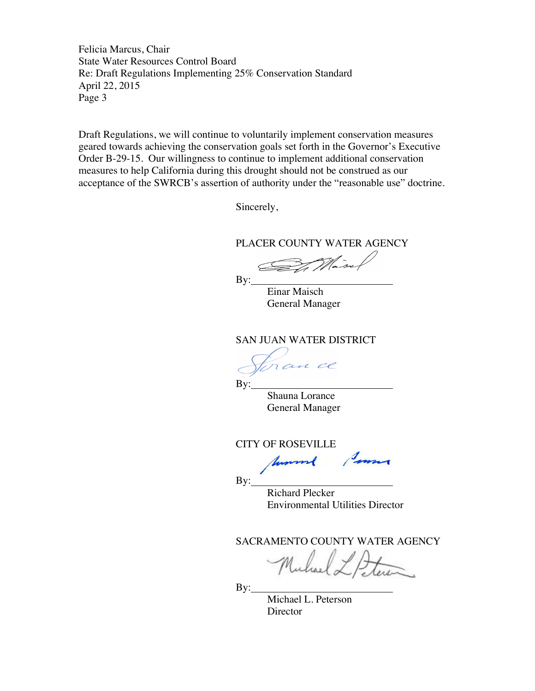Felicia Marcus, Chair State Water Resources Control Board Re: Draft Regulations Implementing 25% Conservation Standard April 22, 2015 Page 3

Draft Regulations, we will continue to voluntarily implement conservation measures geared towards achieving the conservation goals set forth in the Governor's Executive Order B-29-15. Our willingness to continue to implement additional conservation measures to help California during this drought should not be construed as our acceptance of the SWRCB's assertion of authority under the "reasonable use" doctrine.

Sincerely,

PLACER COUNTY WATER AGENCY

 $By:$ 

Einar Maisch General Manager

SAN JUAN WATER DISTRICT

ran ce

By:

Shauna Lorance General Manager

CITY OF ROSEVILLE

 $\mathbf{By:}$ 

Richard Plecker Environmental Utilities Director

SACRAMENTO COUNTY WATER AGENCY

 $By:$ 

Michael L. Peterson **Director**